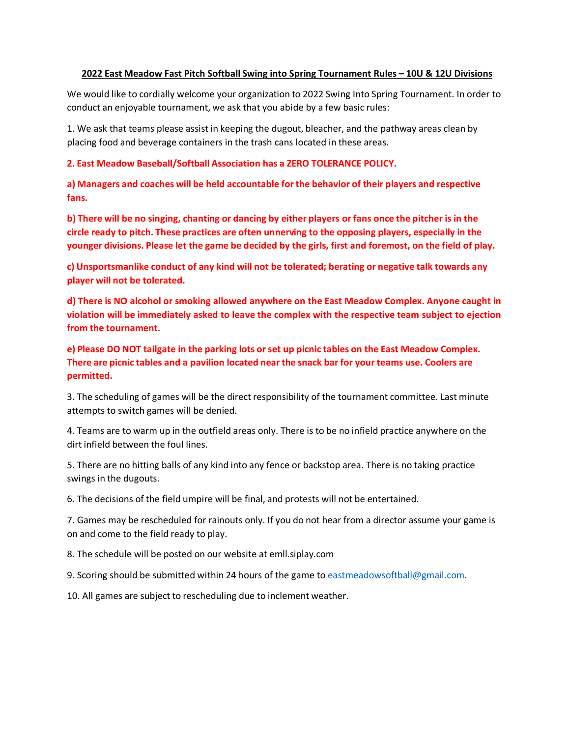## **2022 East Meadow Fast Pitch Softball Swing into Spring Tournament Rules – 10U & 12U Divisions**

We would like to cordially welcome your organization to 2022 Swing Into Spring Tournament. In order to conduct an enjoyable tournament, we ask that you abide by a few basic rules:

1. We ask that teams please assist in keeping the dugout, bleacher, and the pathway areas clean by placing food and beverage containers in the trash cans located in these areas.

## **2. East Meadow Baseball/Softball Association has a ZERO TOLERANCE POLICY.**

**a) Managers and coaches will be held accountable forthe behavior of their players and respective fans.**

b) There will be no singing, chanting or dancing by either players or fans once the pitcher is in the **circle ready to pitch. These practices are often unnerving to the opposing players, especially in the**  younger divisions. Please let the game be decided by the girls, first and foremost, on the field of play.

**c) Unsportsmanlike conduct of any kind will not be tolerated; berating or negative talk towards any player will not be tolerated.**

**d) There is NO alcohol or smoking allowed anywhere on the East Meadow Complex. Anyone caught in violation will be immediately asked to leave the complex with the respective team subject to ejection from the tournament.**

**e) Please DO NOT tailgate in the parking lots orset up picnic tables on the East Meadow Complex. There are picnic tables and a pavilion located near the snack bar for your teams use. Coolers are permitted.**

3. The scheduling of games will be the direct responsibility of the tournament committee. Last minute attempts to switch games will be denied.

4. Teams are to warm up in the outfield areas only. There is to be no infield practice anywhere on the dirt infield between the foul lines.

5. There are no hitting balls of any kind into any fence or backstop area. There is no taking practice swings in the dugouts.

6. The decisions of the field umpire will be final, and protests will not be entertained.

7. Games may be rescheduled for rainouts only. If you do not hear from a director assume your game is on and come to the field ready to play.

8. The schedule will be posted on our website at emll.siplay.com

9. Scoring should be submitted within 24 hours of the game to [eastmeadowsoftball@gmail.com.](mailto:eastmeadowsoftball@gmail.com)

10. All games are subject to rescheduling due to inclement weather.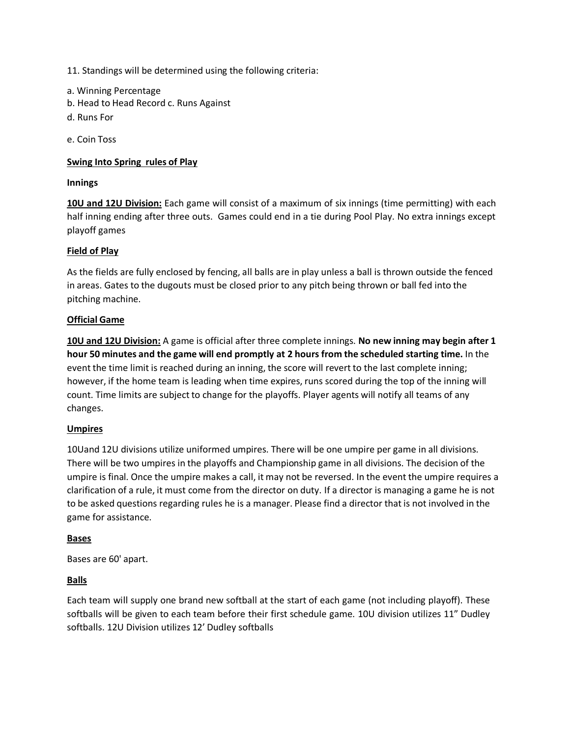11. Standings will be determined using the following criteria:

- a. Winning Percentage
- b. Head to Head Record c. Runs Against
- d. Runs For

e. Coin Toss

## **Swing Into Spring rules of Play**

## **Innings**

**10U and 12U Division:** Each game will consist of a maximum of six innings (time permitting) with each half inning ending after three outs. Games could end in a tie during Pool Play. No extra innings except playoff games

## **Field of Play**

As the fields are fully enclosed by fencing, all balls are in play unless a ball is thrown outside the fenced in areas. Gates to the dugouts must be closed prior to any pitch being thrown or ball fed into the pitching machine.

## **Official Game**

**10U and 12U Division:** A game is official after three complete innings. **No new inning may begin after 1 hour 50 minutes and the game will end promptly at 2 hours from the scheduled starting time.** In the event the time limit is reached during an inning, the score will revert to the last complete inning; however, if the home team is leading when time expires, runs scored during the top of the inning will count. Time limits are subject to change for the playoffs. Player agents will notify all teams of any changes.

## **Umpires**

10Uand 12U divisions utilize uniformed umpires. There will be one umpire per game in all divisions. There will be two umpires in the playoffs and Championship game in all divisions. The decision of the umpire is final. Once the umpire makes a call, it may not be reversed. In the event the umpire requires a clarification of a rule, it must come from the director on duty. If a director is managing a game he is not to be asked questions regarding rules he is a manager. Please find a director that is not involved in the game for assistance.

## **Bases**

Bases are 60' apart.

## **Balls**

Each team will supply one brand new softball at the start of each game (not including playoff). These softballs will be given to each team before their first schedule game. 10U division utilizes 11" Dudley softballs. 12U Division utilizes 12' Dudley softballs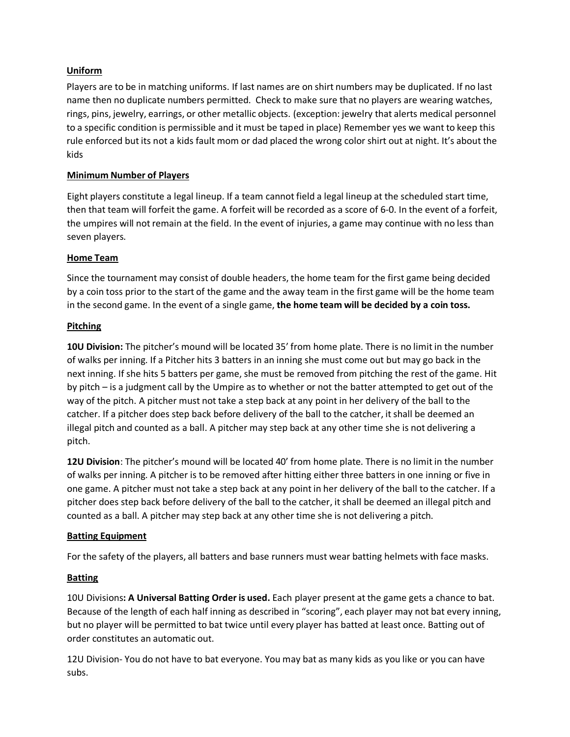# **Uniform**

Players are to be in matching uniforms. If last names are on shirt numbers may be duplicated. If no last name then no duplicate numbers permitted. Check to make sure that no players are wearing watches, rings, pins, jewelry, earrings, or other metallic objects. (exception: jewelry that alerts medical personnel to a specific condition is permissible and it must be taped in place) Remember yes we want to keep this rule enforced but its not a kids fault mom or dad placed the wrong color shirt out at night. It's about the kids

## **Minimum Number of Players**

Eight players constitute a legal lineup. If a team cannot field a legal lineup at the scheduled start time, then that team will forfeit the game. A forfeit will be recorded as a score of 6-0. In the event of a forfeit, the umpires will not remain at the field. In the event of injuries, a game may continue with no less than seven players.

## **Home Team**

Since the tournament may consist of double headers, the home team for the first game being decided by a coin toss prior to the start of the game and the away team in the first game will be the home team in the second game. In the event of a single game, **the home team will be decided by a coin toss.**

## **Pitching**

**10U Division:** The pitcher's mound will be located 35' from home plate. There is no limit in the number of walks per inning. If a Pitcher hits 3 batters in an inning she must come out but may go back in the next inning. If she hits 5 batters per game, she must be removed from pitching the rest of the game. Hit by pitch – is a judgment call by the Umpire as to whether or not the batter attempted to get out of the way of the pitch. A pitcher must not take a step back at any point in her delivery of the ball to the catcher. If a pitcher does step back before delivery of the ball to the catcher, it shall be deemed an illegal pitch and counted as a ball. A pitcher may step back at any other time she is not delivering a pitch.

**12U Division**: The pitcher's mound will be located 40' from home plate. There is no limit in the number of walks per inning. A pitcher is to be removed after hitting either three batters in one inning or five in one game. A pitcher must not take a step back at any point in her delivery of the ball to the catcher. If a pitcher does step back before delivery of the ball to the catcher, it shall be deemed an illegal pitch and counted as a ball. A pitcher may step back at any other time she is not delivering a pitch.

# **Batting Equipment**

For the safety of the players, all batters and base runners must wear batting helmets with face masks.

# **Batting**

10U Divisions**: A Universal Batting Order is used.** Each player present at the game gets a chance to bat. Because of the length of each half inning as described in "scoring", each player may not bat every inning, but no player will be permitted to bat twice until every player has batted at least once. Batting out of order constitutes an automatic out.

12U Division- You do not have to bat everyone. You may bat as many kids as you like or you can have subs.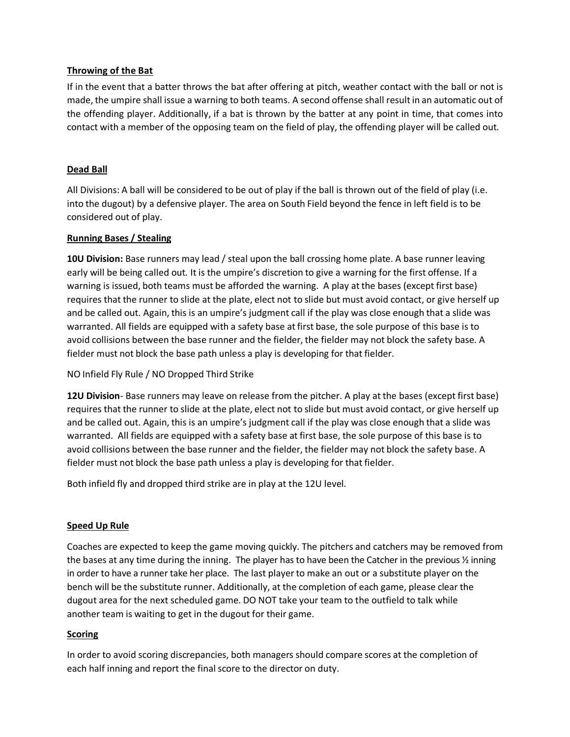## **Throwing of the Bat**

If in the event that a batter throws the bat after offering at pitch, weather contact with the ball or not is made, the umpire shall issue a warning to both teams. A second offense shall result in an automatic out of the offending player. Additionally, if a bat is thrown by the batter at any point in time, that comes into contact with a member of the opposing team on the field of play, the offending player will be called out.

## **Dead Ball**

All Divisions: A ball will be considered to be out of play if the ball is thrown out of the field of play (i.e. into the dugout) by a defensive player. The area on South Field beyond the fence in left field is to be considered out of play.

## **Running Bases / Stealing**

**10U Division:** Base runners may lead / steal upon the ball crossing home plate. A base runner leaving early will be being called out. It is the umpire's discretion to give a warning for the first offense. If a warning is issued, both teams must be afforded the warning. A play at the bases (except first base) requires that the runner to slide at the plate, elect not to slide but must avoid contact, or give herself up and be called out. Again, this is an umpire's judgment call if the play was close enough that a slide was warranted. All fields are equipped with a safety base atfirst base, the sole purpose of this base is to avoid collisions between the base runner and the fielder, the fielder may not block the safety base. A fielder must not block the base path unless a play is developing for that fielder.

NO Infield Fly Rule / NO Dropped Third Strike

**12U Division**- Base runners may leave on release from the pitcher. A play at the bases (except first base) requires that the runner to slide at the plate, elect not to slide but must avoid contact, or give herself up and be called out. Again, this is an umpire's judgment call if the play was close enough that a slide was warranted. All fields are equipped with a safety base at first base, the sole purpose of this base is to avoid collisions between the base runner and the fielder, the fielder may not block the safety base. A fielder must not block the base path unless a play is developing for that fielder.

Both infield fly and dropped third strike are in play at the 12U level.

# **Speed Up Rule**

Coaches are expected to keep the game moving quickly. The pitchers and catchers may be removed from the bases at any time during the inning. The player has to have been the Catcher in the previous ½ inning in order to have a runner take her place. The last playerto make an out or a substitute player on the bench will be the substitute runner. Additionally, at the completion of each game, please clear the dugout area for the next scheduled game. DO NOT take your team to the outfield to talk while another team is waiting to get in the dugout for their game.

# **Scoring**

In order to avoid scoring discrepancies, both managers should compare scores at the completion of each half inning and report the final score to the director on duty.